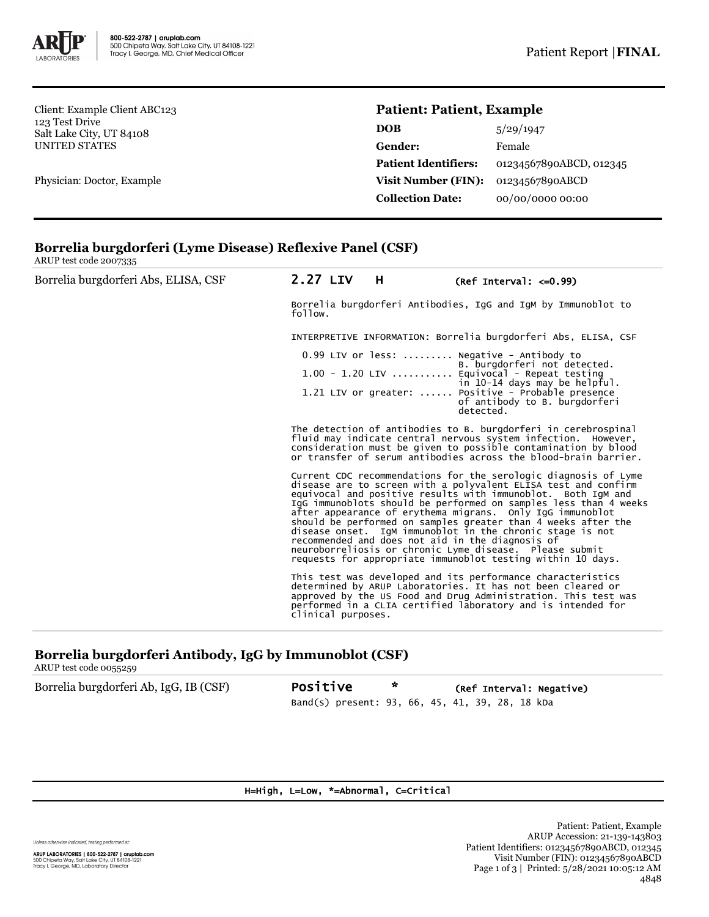

Client: Example Client ABC123 123 Test Drive Salt Lake City, UT 84108 UNITED STATES

Physician: Doctor, Example

## **Patient: Patient, Example**

| <b>DOB</b>                  | 5/29/1947               |
|-----------------------------|-------------------------|
| Gender:                     | Female                  |
| <b>Patient Identifiers:</b> | 01234567890ABCD, 012345 |
| <b>Visit Number (FIN):</b>  | 01234567890ABCD         |
| <b>Collection Date:</b>     | 00/00/0000 00:00        |
|                             |                         |

## **Borrelia burgdorferi (Lyme Disease) Reflexive Panel (CSF)**

ARUP test code 2007335

| Borrelia burgdorferi Abs, ELISA, CSF | 2.27 LIV                                                                                                                                                                                                                                                                                                                                                                                                                                                                                                                                                                                                                                       | H | $(Ref Interval: < =0.99)$                                                                                                                                                                                                                                    |  |  |
|--------------------------------------|------------------------------------------------------------------------------------------------------------------------------------------------------------------------------------------------------------------------------------------------------------------------------------------------------------------------------------------------------------------------------------------------------------------------------------------------------------------------------------------------------------------------------------------------------------------------------------------------------------------------------------------------|---|--------------------------------------------------------------------------------------------------------------------------------------------------------------------------------------------------------------------------------------------------------------|--|--|
|                                      | Borrelia burgdorferi Antibodies, IgG and IgM by Immunoblot to<br>follow.                                                                                                                                                                                                                                                                                                                                                                                                                                                                                                                                                                       |   |                                                                                                                                                                                                                                                              |  |  |
|                                      | INTERPRETIVE INFORMATION: Borrelia burgdorferi Abs, ELISA, CSF                                                                                                                                                                                                                                                                                                                                                                                                                                                                                                                                                                                 |   |                                                                                                                                                                                                                                                              |  |  |
|                                      | $0.99$ LIV or less:  Negative - Antibody to<br>B. burgdorferi not detected.                                                                                                                                                                                                                                                                                                                                                                                                                                                                                                                                                                    |   |                                                                                                                                                                                                                                                              |  |  |
|                                      |                                                                                                                                                                                                                                                                                                                                                                                                                                                                                                                                                                                                                                                |   | $1.00 - 1.20$ LIV  Equivocal - Repeat testing<br>in 10-14 days may be helpful.                                                                                                                                                                               |  |  |
|                                      |                                                                                                                                                                                                                                                                                                                                                                                                                                                                                                                                                                                                                                                |   | 1.21 LIV or greater:  Positive - Probable presence<br>of antibody to B. burgdorferi<br>detected.                                                                                                                                                             |  |  |
|                                      | The detection of antibodies to B. burgdorferi in cerebrospinal<br>fluid may indicate central nervous system infection. However,<br>consideration must be given to possible contamination by blood<br>or transfer of serum antibodies across the blood-brain barrier.                                                                                                                                                                                                                                                                                                                                                                           |   |                                                                                                                                                                                                                                                              |  |  |
|                                      | Current CDC recommendations for the serologic diagnosis of Lyme<br>disease are to screen with a polyvalent ELISA test and confirm<br>equivocal and positive results with immunoblot. Both IqM and<br>IgG immunoblots should be performed on samples less than 4 weeks<br>after appearance of erythema migrans. Only IgG immunoblot<br>should be performed on samples greater than 4 weeks after the<br>disease onset. IgM immunoblot in the chronic stage is not<br>recommended and does not aid in the diagnosis of<br>neuroborreliosis or chronic Lyme disease. Please submit<br>requests for appropriate immunoblot testing within 10 days. |   |                                                                                                                                                                                                                                                              |  |  |
|                                      | clinical purposes.                                                                                                                                                                                                                                                                                                                                                                                                                                                                                                                                                                                                                             |   | This test was developed and its performance characteristics<br>determined by ARUP Laboratories. It has not been cleared or<br>approved by the US Food and Drug Administration. This test was<br>performed in a CLIA certified laboratory and is intended for |  |  |

# **Borrelia burgdorferi Antibody, IgG by Immunoblot (CSF)**

ARUP test code 0055259

Borrelia burgdorferi Ab, IgG, IB (CSF) Positive \* (Ref Interval: Negative) Band(s) present: 93, 66, 45, 41, 39, 28, 18 kDa

#### H=High, L=Low, \*=Abnormal, C=Critical

Unless otherwise indicated, testing performed at:

Patient: Patient, Example ARUP Accession: 21-139-143803 Patient Identifiers: 01234567890ABCD, 012345 Visit Number (FIN): 01234567890ABCD Page 1 of 3 | Printed: 5/28/2021 10:05:12 AM 4848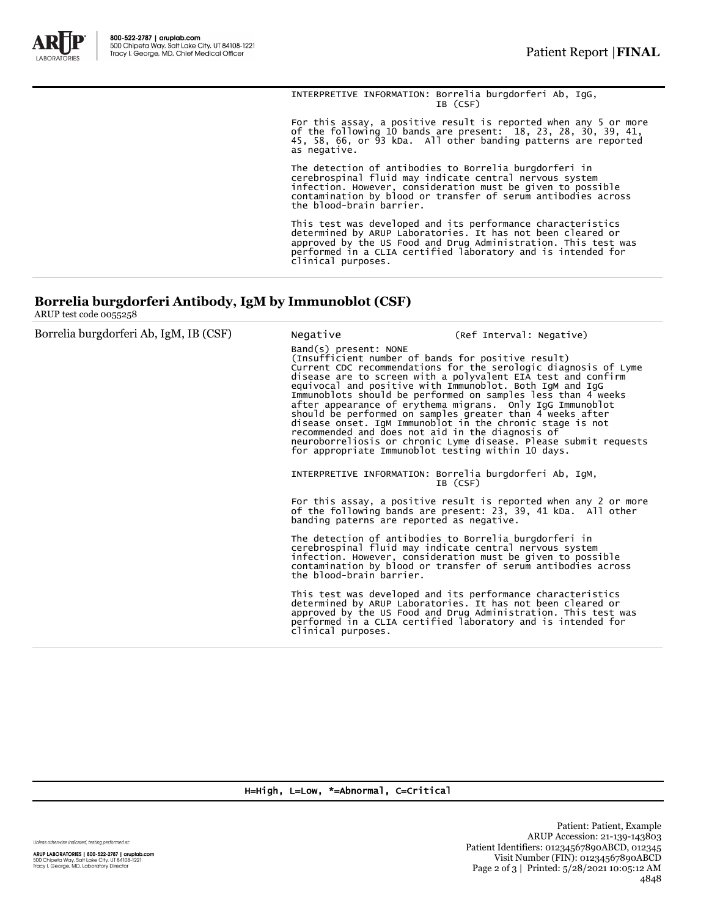

INTERPRETIVE INFORMATION: Borrelia burgdorferi Ab, IgG, IB (CSF)

For this assay, a positive result is reported when any 5 or more of the following 10 bands are present: 18, 23, 28, 30, 39, 41, 45, 58, 66, or 93 kDa. All other banding patterns are reported as negative.

The detection of antibodies to Borrelia burgdorferi in<br>cerebrospinal fluid may indicate central nervous system<br>infection. However, consideration must be given to possible<br>contamination by blood or transfer of serum antibod

This test was developed and its performance characteristics<br>determined by ARUP Laboratories. It has not been cleared or<br>approved by the US Food and Drug Administration. This test was<br>performed in a CLIA certified laborator

## **Borrelia burgdorferi Antibody, IgM by Immunoblot (CSF)**

ARUP test code 0055258

| Borrelia burgdorferi Ab, IgM, IB (CSF) | Negative                                                                                                                                                                                                                                                                                                                                                                                                                                                                                                                                                                                                                                                                                                          | (Ref Interval: Negative)                                                                                                                                                                                                                                     |  |
|----------------------------------------|-------------------------------------------------------------------------------------------------------------------------------------------------------------------------------------------------------------------------------------------------------------------------------------------------------------------------------------------------------------------------------------------------------------------------------------------------------------------------------------------------------------------------------------------------------------------------------------------------------------------------------------------------------------------------------------------------------------------|--------------------------------------------------------------------------------------------------------------------------------------------------------------------------------------------------------------------------------------------------------------|--|
|                                        | $Band(s)$ present: NONE<br>(Insufficient number of bands for positive result)<br>Current CDC recommendations for the serologic diagnosis of Lyme<br>disease are to screen with a polyvalent EIA test and confirm<br>equivocal and positive with Immunoblot. Both IgM and IgG<br>Immunoblots should be performed on samples less than 4 weeks<br>after appearance of erythema migrans. Only IgG Immunoblot<br>should be performed on samples greater than 4 weeks after<br>disease onset. IgM Immunoblot in the chronic stage is not<br>recommended and does not aid in the diagnosis of<br>neuroborreliosis or chronic Lyme disease. Please submit requests<br>for appropriate Immunoblot testing within 10 days. |                                                                                                                                                                                                                                                              |  |
|                                        | INTERPRETIVE INFORMATION: Borrelia burgdorferi Ab, IgM,                                                                                                                                                                                                                                                                                                                                                                                                                                                                                                                                                                                                                                                           | IB (CSF)                                                                                                                                                                                                                                                     |  |
|                                        | banding paterns are reported as negative.                                                                                                                                                                                                                                                                                                                                                                                                                                                                                                                                                                                                                                                                         | For this assay, a positive result is reported when any 2 or more<br>of the following bands are present: 23, 39, 41 kDa. All other                                                                                                                            |  |
|                                        | The detection of antibodies to Borrelia burgdorferi in<br>cerebrospinal fluid may indicate central nervous system<br>the blood-brain barrier.                                                                                                                                                                                                                                                                                                                                                                                                                                                                                                                                                                     | infection. However, consideration must be given to possible<br>contamination by blood or transfer of serum antibodies across                                                                                                                                 |  |
|                                        | clinical purposes.                                                                                                                                                                                                                                                                                                                                                                                                                                                                                                                                                                                                                                                                                                | This test was developed and its performance characteristics<br>determined by ARUP Laboratories. It has not been cleared or<br>approved by the US Food and Drug Administration. This test was<br>performed in a CLIA certified laboratory and is intended for |  |
|                                        |                                                                                                                                                                                                                                                                                                                                                                                                                                                                                                                                                                                                                                                                                                                   |                                                                                                                                                                                                                                                              |  |

H=High, L=Low, \*=Abnormal, C=Critical

Unless otherwise indicated, testing performed at:

**ARUP LABORATORIES | 800-522-2787 | aruplab.com**<br>500 Chipeta Way, Salt Lake City, UT 84108-1221<br>Tracy I. George, MD, Laboratory Director

Patient: Patient, Example ARUP Accession: 21-139-143803 Patient Identifiers: 01234567890ABCD, 012345 Visit Number (FIN): 01234567890ABCD Page 2 of 3 | Printed: 5/28/2021 10:05:12 AM 4848